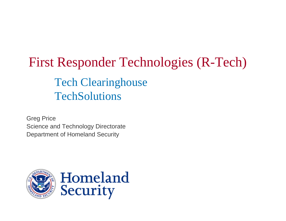## First Responder Technologies (R-Tech) Tech Clearinghouse **TechSolutions**

Greg Price Science and Technology Directorate Department of Homeland Security

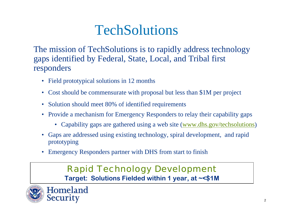### **TechSolutions**

The mission of TechSolutions is to rapidly address technology gaps identified by Federal, State, Local, and Tribal first responders

- Field prototypical solutions in 12 months
- Cost should be commensurate with proposal but less than \$1M per project
- Solution should meet 80% of identified requirements
- Provide a mechanism for Emergency Responders to relay their capability gaps
	- Capability gaps are gathered using a web site ([www.dhs.gov/techsolutions](http://www.dhs.gov/techsolutions))
- Gaps are addressed using existing technology, spiral development, and rapid prototyping
- Emergency Responders partner with DHS from start to finish

### *Rapid Technology Development* **Target: Solutions Fielded within 1 year, at ~<\$1M**

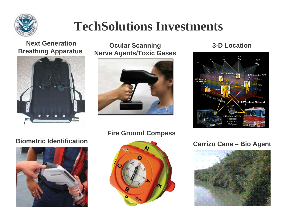

### **TechSolutions Investments**

#### **Next GenerationBreathing Apparatus**



#### **Ocular Scanning 3-D Location Nerve Agents/Toxic Gases**





#### **Biometric Identification**



#### **Fire Ground Compass**



#### **Carrizo Cane – Bio Agent**

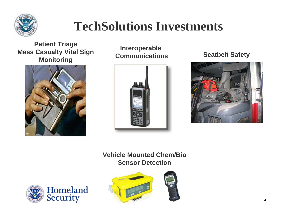

### **TechSolutions Investments**

**Patient Triage Mass Casualty Vital Sign Monitoring** Communications Seatbelt Safety



**Interoperable** 





**Vehicle Mounted Chem/BioSensor Detection**



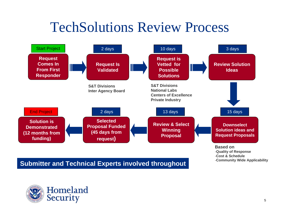# TechSolutions Review Process



-**Quality of Response** -**Cost & Schedule**-**Community Wide Applicability**

**Submitter and Technical Experts involved throughout**